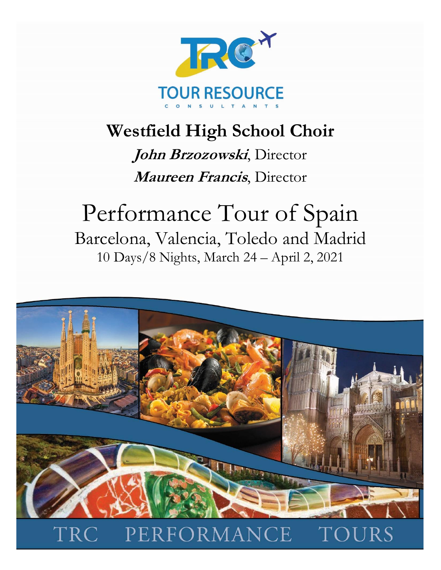

# **Westfield High School Choir**

**John Brzozowski**, Director **Maureen Francis**, Director

# Performance Tour of Spain Barcelona, Valencia, Toledo and Madrid 10 Days/8 Nights, March 24 – April 2, 2021

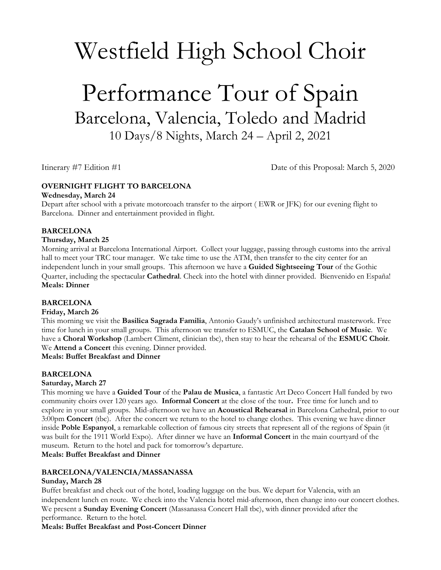# Westfield High School Choir

# Performance Tour of Spain Barcelona, Valencia, Toledo and Madrid 10 Days/8 Nights, March 24 – April 2, 2021

Itinerary #7 Edition #1 Date of this Proposal: March 5, 2020

# **OVERNIGHT FLIGHT TO BARCELONA**

#### **Wednesday, March 24**

Depart after school with a private motorcoach transfer to the airport ( EWR or JFK) for our evening flight to Barcelona. Dinner and entertainment provided in flight.

# **BARCELONA**

#### **Thursday, March 25**

Morning arrival at Barcelona International Airport. Collect your luggage, passing through customs into the arrival hall to meet your TRC tour manager. We take time to use the ATM, then transfer to the city center for an independent lunch in your small groups. This afternoon we have a **Guided Sightseeing Tour** of the Gothic Quarter, including the spectacular **Cathedral**. Check into the hotel with dinner provided. Bienvenido en España! **Meals: Dinner**

# **BARCELONA**

# **Friday, March 26**

This morning we visit the **Basilica Sagrada Familia**, Antonio Gaudy's unfinished architectural masterwork. Free time for lunch in your small groups. This afternoon we transfer to ESMUC, the **Catalan School of Music**. We have a **Choral Workshop** (Lambert Climent, clinician tbc), then stay to hear the rehearsal of the **ESMUC Choir**. We **Attend a Concert** this evening. Dinner provided.

**Meals: Buffet Breakfast and Dinner**

# **BARCELONA**

# **Saturday, March 27**

This morning we have a **Guided Tour** of the **Palau de Musica**, a fantastic Art Deco Concert Hall funded by two community choirs over 120 years ago. **Informal Concert** at the close of the tour**.** Free time for lunch and to explore in your small groups. Mid-afternoon we have an **Acoustical Rehearsal** in Barcelona Cathedral, prior to our 3:00pm **Concert** (tbc). After the concert we return to the hotel to change clothes. This evening we have dinner inside **Poble Espanyol**, a remarkable collection of famous city streets that represent all of the regions of Spain (it was built for the 1911 World Expo). After dinner we have an **Informal Concert** in the main courtyard of the museum. Return to the hotel and pack for tomorrow's departure.

**Meals: Buffet Breakfast and Dinner**

# **BARCELONA/VALENCIA/MASSANASSA**

# **Sunday, March 28**

Buffet breakfast and check out of the hotel, loading luggage on the bus. We depart for Valencia, with an independent lunch en route. We check into the Valencia hotel mid-afternoon, then change into our concert clothes. We present a **Sunday Evening Concert** (Massanassa Concert Hall tbc), with dinner provided after the performance. Return to the hotel.

**Meals: Buffet Breakfast and Post-Concert Dinner**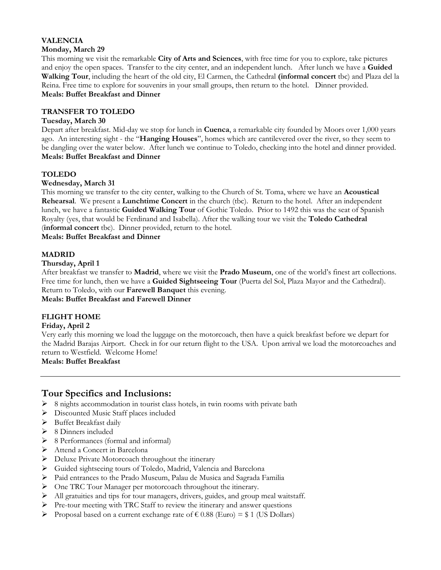#### **VALENCIA Monday, March 29**

This morning we visit the remarkable **City of Arts and Sciences**, with free time for you to explore, take pictures and enjoy the open spaces. Transfer to the city center, and an independent lunch. After lunch we have a **Guided Walking Tour**, including the heart of the old city, El Carmen, the Cathedral **(informal concert** tbc) and Plaza del la Reina. Free time to explore for souvenirs in your small groups, then return to the hotel. Dinner provided. **Meals: Buffet Breakfast and Dinner**

#### **TRANSFER TO TOLEDO**

#### **Tuesday, March 30**

Depart after breakfast. Mid-day we stop for lunch in **Cuenca**, a remarkable city founded by Moors over 1,000 years ago. An interesting sight - the "**Hanging Houses**", homes which are cantilevered over the river, so they seem to be dangling over the water below. After lunch we continue to Toledo, checking into the hotel and dinner provided. **Meals: Buffet Breakfast and Dinner**

# **TOLEDO**

#### **Wednesday, March 31**

This morning we transfer to the city center, walking to the Church of St. Toma, where we have an **Acoustical Rehearsal**. We present a **Lunchtime Concert** in the church (tbc). Return to the hotel. After an independent lunch, we have a fantastic **Guided Walking Tour** of Gothic Toledo. Prior to 1492 this was the seat of Spanish Royalty (yes, that would be Ferdinand and Isabella). After the walking tour we visit the **Toledo Cathedral**  (**informal concert** tbc). Dinner provided, return to the hotel.

**Meals: Buffet Breakfast and Dinner**

#### **MADRID**

#### **Thursday, April 1**

After breakfast we transfer to **Madrid**, where we visit the **Prado Museum**, one of the world's finest art collections. Free time for lunch, then we have a **Guided Sightseeing Tour** (Puerta del Sol, Plaza Mayor and the Cathedral). Return to Toledo, with our **Farewell Banquet** this evening. **Meals: Buffet Breakfast and Farewell Dinner**

#### **FLIGHT HOME**

#### **Friday, April 2**

Very early this morning we load the luggage on the motorcoach, then have a quick breakfast before we depart for the Madrid Barajas Airport. Check in for our return flight to the USA. Upon arrival we load the motorcoaches and return to Westfield. Welcome Home!

#### **Meals: Buffet Breakfast**

# **Tour Specifics and Inclusions:**

- ➢ 8 nights accommodation in tourist class hotels, in twin rooms with private bath
- ➢ Discounted Music Staff places included
- ➢ Buffet Breakfast daily
- ➢ 8 Dinners included
- ➢ 8 Performances (formal and informal)
- ➢ Attend a Concert in Barcelona
- ➢ Deluxe Private Motorcoach throughout the itinerary
- ➢ Guided sightseeing tours of Toledo, Madrid, Valencia and Barcelona
- ➢ Paid entrances to the Prado Museum, Palau de Musica and Sagrada Familia
- ➢ One TRC Tour Manager per motorcoach throughout the itinerary.
- $\triangleright$  All gratuities and tips for tour managers, drivers, guides, and group meal waitstaff.
- ➢ Pre-tour meeting with TRC Staff to review the itinerary and answer questions
- Proposal based on a current exchange rate of  $\epsilon$  0.88 (Euro) = \$ 1 (US Dollars)